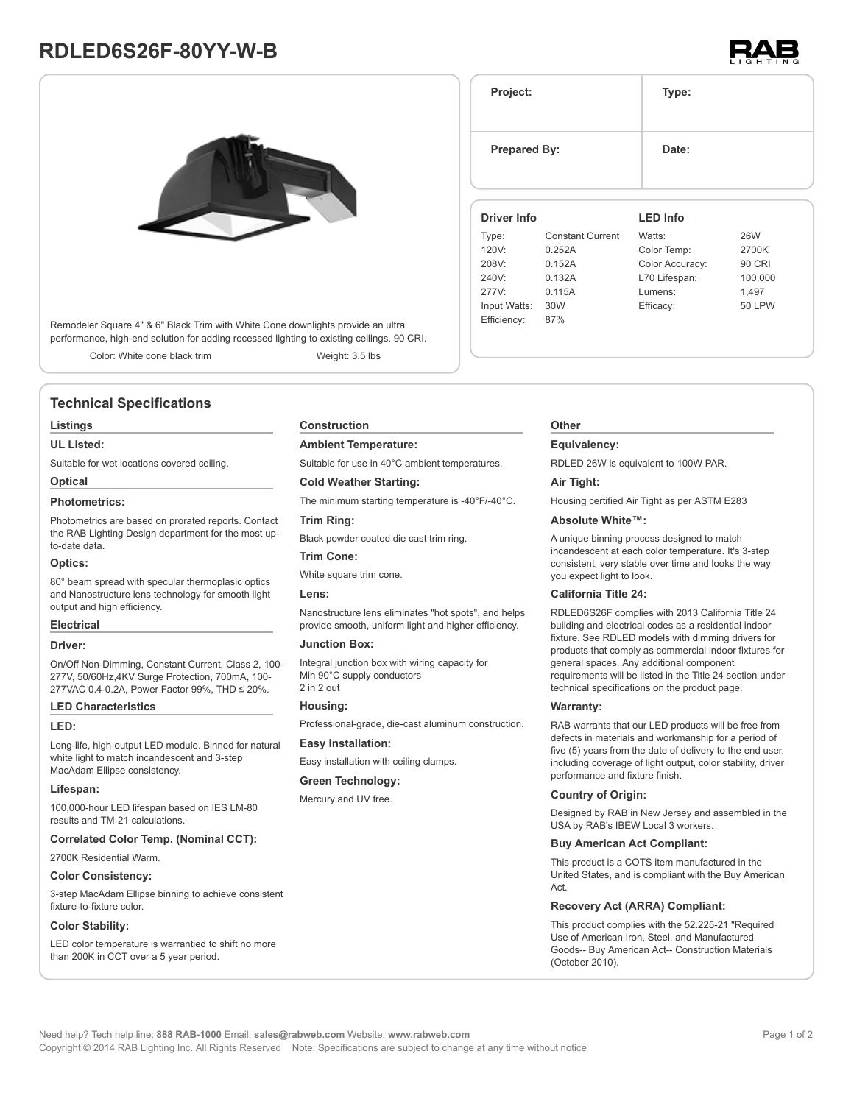# **RDLED6S26F-80YY-W-B**



Remodeler Square 4" & 6" Black Trim with White Cone downlights provide an ultra performance, high-end solution for adding recessed lighting to existing ceilings. 90 CRI.

Color: White cone black trim Weight: 3.5 lbs

# **Technical Specifications**

#### **Listings**

#### **UL Listed:**

Suitable for wet locations covered ceiling.

# **Optical**

## **Photometrics:**

Photometrics are based on prorated reports. Contact the RAB Lighting Design department for the most upto-date data.

#### **Optics:**

80° beam spread with specular thermoplasic optics and Nanostructure lens technology for smooth light output and high efficiency.

#### **Electrical**

#### **Driver:**

On/Off Non-Dimming, Constant Current, Class 2, 100- 277V, 50/60Hz,4KV Surge Protection, 700mA, 100- 277VAC 0.4-0.2A, Power Factor 99%, THD ≤ 20%.

#### **LED Characteristics**

#### **LED:**

Long-life, high-output LED module. Binned for natural white light to match incandescent and 3-step MacAdam Ellipse consistency.

#### **Lifespan:**

100,000-hour LED lifespan based on IES LM-80 results and TM-21 calculations.

#### **Correlated Color Temp. (Nominal CCT):**

2700K Residential Warm.

#### **Color Consistency:**

3-step MacAdam Ellipse binning to achieve consistent fixture-to-fixture color.

#### **Color Stability:**

LED color temperature is warrantied to shift no more than 200K in CCT over a 5 year period.

#### **Construction**

#### **Ambient Temperature:**

Suitable for use in 40°C ambient temperatures.

#### **Cold Weather Starting:**

The minimum starting temperature is -40°F/-40°C.

#### **Trim Ring:**

Black powder coated die cast trim ring.

#### **Trim Cone:**

White square trim cone.

#### **Lens:**

Nanostructure lens eliminates "hot spots", and helps provide smooth, uniform light and higher efficiency.

#### **Junction Box:**

Integral junction box with wiring capacity for Min 90°C supply conductors 2 in 2 out

#### **Housing:**

Professional-grade, die-cast aluminum construction.

#### **Easy Installation:**

Easy installation with ceiling clamps.

#### **Green Technology:**

Mercury and UV free.

# **Project: Type: Prepared By:** Date: **Driver Info** Type: Constant Current 120V: 0.252A **LED Info** Watts: 26W Color Temp: 2700K

| Type:        | <b>Constant Current</b> | Watts:          | 26W           |
|--------------|-------------------------|-----------------|---------------|
| 120V:        | 0.252A                  | Color Temp:     | 2700K         |
| 208V:        | 0.152A                  | Color Accuracy: | 90 CRI        |
| 240V:        | 0.132A                  | L70 Lifespan:   | 100,000       |
| 277V:        | 0.115A                  | Lumens:         | 1.497         |
| Input Watts: | 30W                     | Efficacy:       | <b>50 LPW</b> |
| Efficiency:  | 87%                     |                 |               |
|              |                         |                 |               |

### **Other**

#### **Equivalency:**

RDLED 26W is equivalent to 100W PAR.

#### **Air Tight:**

Housing certified Air Tight as per ASTM E283

#### **Absolute White™:**

A unique binning process designed to match incandescent at each color temperature. It's 3-step consistent, very stable over time and looks the way you expect light to look.

#### **California Title 24:**

RDLED6S26F complies with 2013 California Title 24 building and electrical codes as a residential indoor fixture. See RDLED models with dimming drivers for products that comply as commercial indoor fixtures for general spaces. Any additional component requirements will be listed in the Title 24 section under technical specifications on the product page.

#### **Warranty:**

RAB warrants that our LED products will be free from defects in materials and workmanship for a period of five (5) years from the date of delivery to the end user, including coverage of light output, color stability, driver performance and fixture finish.

#### **Country of Origin:**

Designed by RAB in New Jersey and assembled in the USA by RAB's IBEW Local 3 workers.

#### **Buy American Act Compliant:**

This product is a COTS item manufactured in the United States, and is compliant with the Buy American Act.

#### **Recovery Act (ARRA) Compliant:**

This product complies with the 52.225-21 "Required Use of American Iron, Steel, and Manufactured Goods-- Buy American Act-- Construction Materials (October 2010).